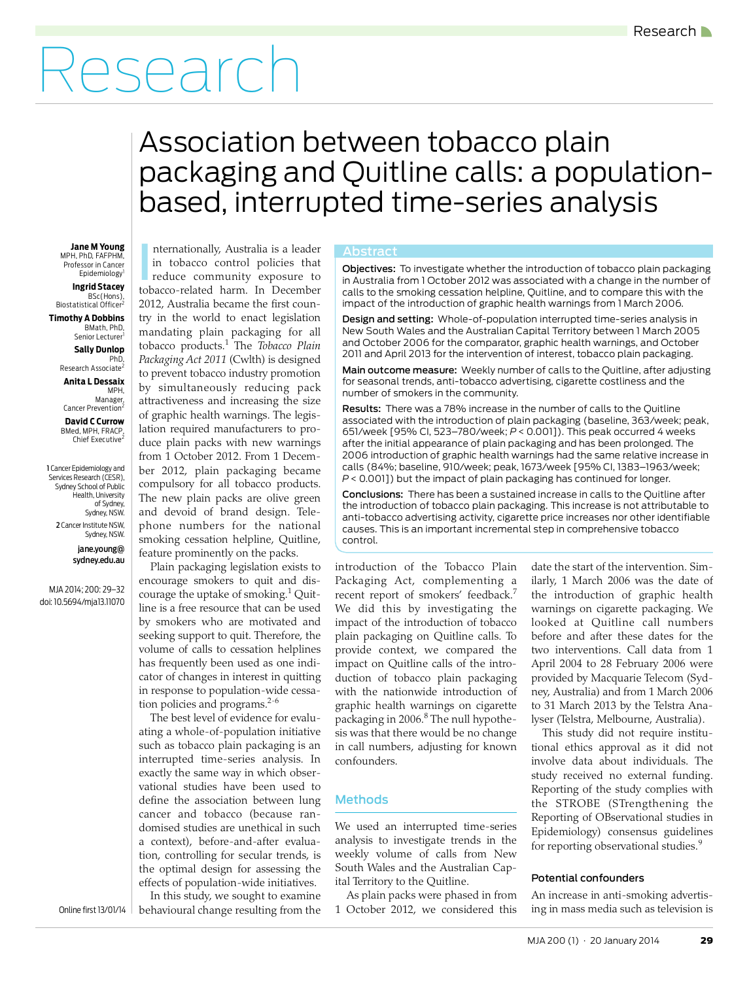# Research

## <span id="page-0-0"></span>Association between tobacco plain packaging and Quitline calls: a populationbased, interrupted time-series analysis

Jane M Young **Tand Teach and Separationally, Australia is a leader Abstract** MPH, PhD, FAFPHM, Professor in Cancer Epidemiology

**Ingrid Stacey** ,BSc(Hons)<br>Biostatistical Officer<sup>2</sup>

**Timothy A Dobbins** BMath, PhD, Senior Lecturer<sup>1</sup>

> **Sally Dunlop** PhD,

Research Associate<sup>2</sup> **Anita L Dessaix** MPH,

Manager, Cancer Prevention<sup>2</sup>

**David C Currow** BMed, MPH, FRACP, Chief Executive<sup>2</sup>

1 Cancer Epidemiology and Services Research (CESR), Sydney School of Public Health, University of Sydney, Sydney, NSW. 2 Cancer Institute NSW, Sydney, NSW.

> jane.young@ sydney.edu.au

MJA 2014; 200: [29–](#page-0-0)[32](#page-3-6) doi: 10.5694/mja13.11070

in tobacco control policies that reduce community exposure to tobacco-related harm. In December 2012, Australia became the first country in the world to enact legislation mandating plain packaging for all tobacco products.[1](#page-3-0) The *Tobacco Plain Packaging Act 2011* (Cwlth) is designed to prevent tobacco industry promotion by simultaneously reducing pack attractiveness and increasing the size of graphic health warnings. The legislation required manufacturers to produce plain packs with new warnings from 1 October 2012. From 1 December 2012, plain packaging became compulsory for all tobacco products. The new plain packs are olive green and devoid of brand design. Telephone numbers for the national smoking cessation helpline, Quitline, feature prominently on the packs. I

Plain packaging legislation exists to encourage smokers to quit and dis-courage the uptake of smoking.<sup>[1](#page-3-0)</sup> Quitline is a free resource that can be used by smokers who are motivated and seeking support to quit. Therefore, the volume of calls to cessation helplines has frequently been used as one indicator of changes in interest in quitting in response to population-wide cessation policies and programs. $2-6$  $2-6$  $2-6$ 

 $\vert$  define the association between lung  $\vert$  cancer and tobacco (because randomised studies are unethical in such where  $\frac{m}{a}$ The best level of evidence for evaluating a whole-of-population initiative such as tobacco plain packaging is an interrupted time-series analysis. In exactly the same way in which observational studies have been used to a context), before-and-after evaluation, controlling for secular trends, is the optimal design for assessing the effects of population-wide initiatives.

In this study, we sought to examine Online first 13/01/14 | behavioural change resulting from the

Objectives: To investigate whether the introduction of tobacco plain packaging in Australia from 1 October 2012 was associated with a change in the number of calls to the smoking cessation helpline, Quitline, and to compare this with the impact of the introduction of graphic health warnings from 1 March 2006.

Design and setting: Whole-of-population interrupted time-series analysis in New South Wales and the Australian Capital Territory between 1 March 2005 and October 2006 for the comparator, graphic health warnings, and October 2011 and April 2013 for the intervention of interest, tobacco plain packaging.

Main outcome measure: Weekly number of calls to the Quitline, after adjusting for seasonal trends, anti-tobacco advertising, cigarette costliness and the number of smokers in the community.

Results: There was a 78% increase in the number of calls to the Quitline associated with the introduction of plain packaging (baseline, 363/week; peak, 651/week [95% CI, 523–780/week; *P* < 0.001]). This peak occurred 4 weeks after the initial appearance of plain packaging and has been prolonged. The 2006 introduction of graphic health warnings had the same relative increase in calls (84%; baseline, 910/week; peak, 1673/week [95% CI, 1383–1963/week; *P* < 0.001]) but the impact of plain packaging has continued for longer.

Conclusions: There has been a sustained increase in calls to the Quitline after the introduction of tobacco plain packaging. This increase is not attributable to anti-tobacco advertising activity, cigarette price increases nor other identifiable causes. This is an important incremental step in comprehensive tobacco control.

introduction of the Tobacco Plain Packaging Act, complementing a recent report of smokers' feedback.<sup>[7](#page-3-3)</sup> We did this by investigating the impact of the introduction of tobacco plain packaging on Quitline calls. To provide context, we compared the impact on Quitline calls of the introduction of tobacco plain packaging with the nationwide introduction of graphic health warnings on cigarette packaging in 2006.<sup>[8](#page-3-4)</sup> The null hypothesis was that there would be no change in call numbers, adjusting for known confounders.

### **Methods**

We used an interrupted time-series analysis to investigate trends in the weekly volume of calls from New South Wales and the Australian Capital Territory to the Quitline.

As plain packs were phased in from 1 October 2012, we considered this

date the start of the intervention. Similarly, 1 March 2006 was the date of the introduction of graphic health warnings on cigarette packaging. We looked at Quitline call numbers before and after these dates for the two interventions. Call data from 1 April 2004 to 28 February 2006 were provided by Macquarie Telecom (Sydney, Australia) and from 1 March 2006 to 31 March 2013 by the Telstra Analyser (Telstra, Melbourne, Australia).

This study did not require institutional ethics approval as it did not involve data about individuals. The study received no external funding. Reporting of the study complies with the STROBE (STrengthening the Reporting of OBservational studies in Epidemiology) consensus guidelines for reporting observational studies.<sup>[9](#page-3-5)</sup>

#### Potential confounders

An increase in anti-smoking advertising in mass media such as television is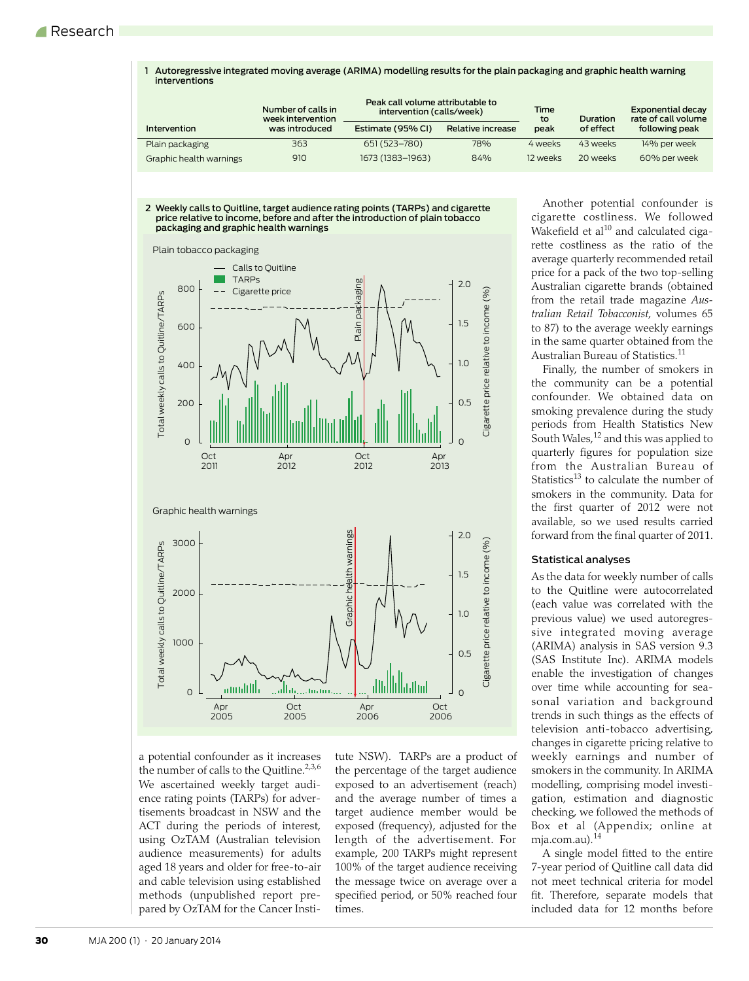1 Autoregressive integrated moving average (ARIMA) modelling results for the plain packaging and graphic health warning interventions

|                         | Number of calls in<br>week intervention |                   | Peak call volume attributable to<br>Time<br>intervention (calls/week)<br>to |          | Duration  | <b>Exponential decay</b><br>rate of call volume |  |
|-------------------------|-----------------------------------------|-------------------|-----------------------------------------------------------------------------|----------|-----------|-------------------------------------------------|--|
| <b>Intervention</b>     | was introduced                          | Estimate (95% CI) | Relative increase                                                           | peak     | of effect | following peak                                  |  |
| Plain packaging         | 363                                     | 651 (523-780)     | 78%                                                                         | 4 weeks  | 43 weeks  | 14% per week                                    |  |
| Graphic health warnings | 910                                     | 1673 (1383-1963)  | 84%                                                                         | 12 weeks | 20 weeks  | 60% per week                                    |  |





a potential confounder as it increases the number of calls to the Quitline. $2,3,6$  $2,3,6$  $2,3,6$  $2,3,6$ We ascertained weekly target audience rating points (TARPs) for advertisements broadcast in NSW and the ACT during the periods of interest, using OzTAM (Australian television audience measurements) for adults aged 18 years and older for free-to-air and cable television using established methods (unpublished report prepared by OzTAM for the Cancer Institute NSW). TARPs are a product of the percentage of the target audience exposed to an advertisement (reach) and the average number of times a target audience member would be exposed (frequency), adjusted for the length of the advertisement. For example, 200 TARPs might represent 100% of the target audience receiving the message twice on average over a specified period, or 50% reached four times.

Another potential confounder is cigarette costliness. We followed Wakefield et al $^{10}$  $^{10}$  $^{10}$  and calculated cigarette costliness as the ratio of the average quarterly recommended retail price for a pack of the two top-selling Australian cigarette brands (obtained from the retail trade magazine *Australian Retail Tobacconist*, volumes 65 to 87) to the average weekly earnings in the same quarter obtained from the Australian Bureau of Statistics.<sup>[11](#page-3-9)</sup>

Finally, the number of smokers in the community can be a potential confounder. We obtained data on smoking prevalence during the study periods from Health Statistics New south Wales, <sup>[12](#page-3-10)</sup> and this was applied to quarterly figures for population size from the Australian Bureau of Statistics<sup>13</sup> to calculate the number of smokers in the community. Data for the first quarter of 2012 were not available, so we used results carried forward from the final quarter of 2011.

#### Statistical analyses

As the data for weekly number of calls to the Quitline were autocorrelated (each value was correlated with the previous value) we used autoregressive integrated moving average (ARIMA) analysis in SAS version 9.3 (SAS Institute Inc). ARIMA models enable the investigation of changes over time while accounting for seasonal variation and background trends in such things as the effects of television anti-tobacco advertising, changes in cigarette pricing relative to weekly earnings and number of smokers in the community. In ARIMA modelling, comprising model investigation, estimation and diagnostic checking, we followed the methods of Box et al (Appendix; online at mja.com.au)*.* [14](#page-3-12)

A single model fitted to the entire 7-year period of Quitline call data did not meet technical criteria for model fit. Therefore, separate models that included data for 12 months before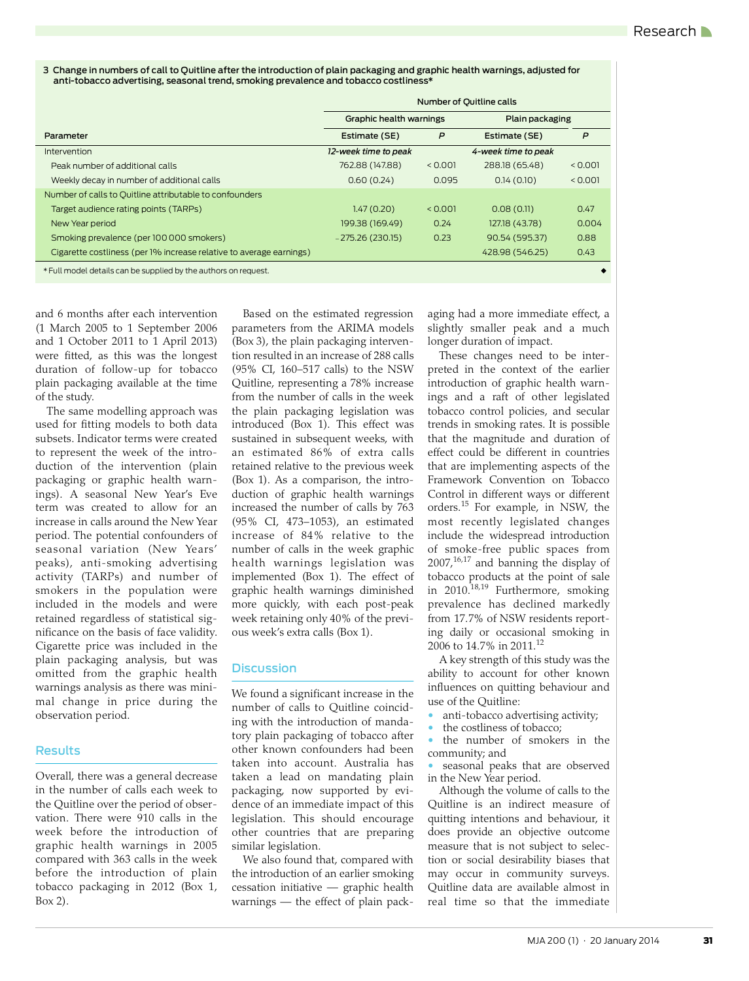3 Change in numbers of call to Quitline after the introduction of plain packaging and graphic health warnings, adjusted for anti-tobacco advertising, seasonal trend, smoking prevalence and tobacco costliness\*

|                                                                     | Number of Quitline calls |         |                     |         |  |
|---------------------------------------------------------------------|--------------------------|---------|---------------------|---------|--|
|                                                                     | Graphic health warnings  |         | Plain packaging     |         |  |
| Parameter                                                           | Estimate (SE)            | P       | Estimate (SE)       | P       |  |
| Intervention                                                        | 12-week time to peak     |         | 4-week time to peak |         |  |
| Peak number of additional calls                                     | 762.88 (147.88)          | < 0.001 | 288.18 (65.48)      | < 0.001 |  |
| Weekly decay in number of additional calls                          | 0.60(0.24)               | 0.095   | 0.14(0.10)          | < 0.001 |  |
| Number of calls to Quitline attributable to confounders             |                          |         |                     |         |  |
| Target audience rating points (TARPs)                               | 1.47(0.20)               | < 0.001 | 0.08(0.11)          | 0.47    |  |
| New Year period                                                     | 199.38 (169.49)          | 0.24    | 127.18 (43.78)      | 0.004   |  |
| Smoking prevalence (per 100 000 smokers)                            | $-275.26(230.15)$        | 0.23    | 90.54 (595.37)      | 0.88    |  |
| Cigarette costliness (per 1% increase relative to average earnings) |                          |         | 428.98 (546.25)     | 0.43    |  |
| * Full model details can be supplied by the authors on request.     |                          |         |                     |         |  |

and 6 months after each intervention (1 March 2005 to 1 September 2006 and 1 October 2011 to 1 April 2013) were fitted, as this was the longest duration of follow-up for tobacco plain packaging available at the time of the study.

The same modelling approach was used for fitting models to both data subsets. Indicator terms were created to represent the week of the introduction of the intervention (plain packaging or graphic health warnings). A seasonal New Year's Eve term was created to allow for an increase in calls around the New Year period. The potential confounders of seasonal variation (New Years' peaks), anti-smoking advertising activity (TARPs) and number of smokers in the population were included in the models and were retained regardless of statistical significance on the basis of face validity. Cigarette price was included in the plain packaging analysis, but was omitted from the graphic health warnings analysis as there was minimal change in price during the observation period.

#### Results

Overall, there was a general decrease in the number of calls each week to the Quitline over the period of observation. There were 910 calls in the week before the introduction of graphic health warnings in 2005 compared with 363 calls in the week before the introduction of plain tobacco packaging in 2012 (Box 1, Box 2).

Based on the estimated regression parameters from the ARIMA models (Box 3), the plain packaging intervention resulted in an increase of 288 calls (95% CI, 160–517 calls) to the NSW Quitline, representing a 78% increase from the number of calls in the week the plain packaging legislation was introduced (Box 1). This effect was sustained in subsequent weeks, with an estimated 86% of extra calls retained relative to the previous week (Box 1). As a comparison, the introduction of graphic health warnings increased the number of calls by 763 (95% CI, 473–1053), an estimated increase of 84% relative to the number of calls in the week graphic health warnings legislation was implemented (Box 1). The effect of graphic health warnings diminished more quickly, with each post-peak week retaining only 40% of the previous week's extra calls (Box 1).

### **Discussion**

We found a significant increase in the number of calls to Quitline coinciding with the introduction of mandatory plain packaging of tobacco after other known confounders had been taken into account. Australia has taken a lead on mandating plain packaging, now supported by evidence of an immediate impact of this legislation. This should encourage other countries that are preparing similar legislation.

We also found that, compared with the introduction of an earlier smoking cessation initiative — graphic health warnings — the effect of plain packaging had a more immediate effect, a slightly smaller peak and a much longer duration of impact.

These changes need to be interpreted in the context of the earlier introduction of graphic health warnings and a raft of other legislated tobacco control policies, and secular trends in smoking rates. It is possible that the magnitude and duration of effect could be different in countries that are implementing aspects of the Framework Convention on Tobacco Control in different ways or different orders.[15](#page-3-13) For example, in NSW, the most recently legislated changes include the widespread introduction of smoke-free public spaces from  $2007$ ,<sup>16[,17](#page-3-15)</sup> and banning the display of tobacco products at the point of sale in 2010.<sup>[18](#page-3-16),[19](#page-3-17)</sup> Furthermore, smoking prevalence has declined markedly from 17.7% of NSW residents reporting daily or occasional smoking in 2006 to 14.7% in 2011.[12](#page-3-10)

A key strength of this study was the ability to account for other known influences on quitting behaviour and use of the Quitline:

• anti-tobacco advertising activity;

the costliness of tobacco;

the number of smokers in the community; and

seasonal peaks that are observed in the New Year period.

Although the volume of calls to the Quitline is an indirect measure of quitting intentions and behaviour, it does provide an objective outcome measure that is not subject to selection or social desirability biases that may occur in community surveys. Quitline data are available almost in real time so that the immediate